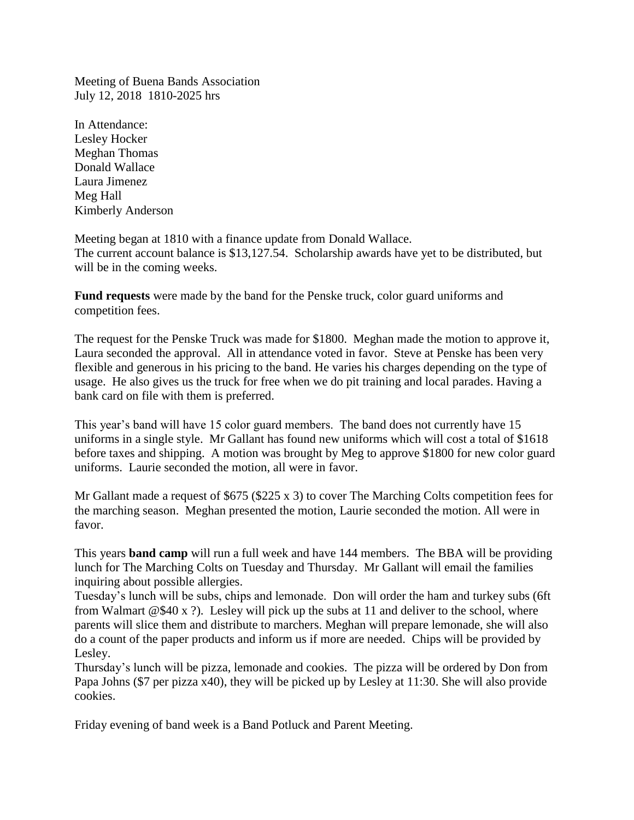Meeting of Buena Bands Association July 12, 2018 1810-2025 hrs

In Attendance: Lesley Hocker Meghan Thomas Donald Wallace Laura Jimenez Meg Hall Kimberly Anderson

Meeting began at 1810 with a finance update from Donald Wallace. The current account balance is \$13,127.54. Scholarship awards have yet to be distributed, but will be in the coming weeks.

**Fund requests** were made by the band for the Penske truck, color guard uniforms and competition fees.

The request for the Penske Truck was made for \$1800. Meghan made the motion to approve it, Laura seconded the approval. All in attendance voted in favor. Steve at Penske has been very flexible and generous in his pricing to the band. He varies his charges depending on the type of usage. He also gives us the truck for free when we do pit training and local parades. Having a bank card on file with them is preferred.

This year's band will have 15 color guard members. The band does not currently have 15 uniforms in a single style. Mr Gallant has found new uniforms which will cost a total of \$1618 before taxes and shipping. A motion was brought by Meg to approve \$1800 for new color guard uniforms. Laurie seconded the motion, all were in favor.

Mr Gallant made a request of \$675 (\$225 x 3) to cover The Marching Colts competition fees for the marching season. Meghan presented the motion, Laurie seconded the motion. All were in favor.

This years **band camp** will run a full week and have 144 members. The BBA will be providing lunch for The Marching Colts on Tuesday and Thursday. Mr Gallant will email the families inquiring about possible allergies.

Tuesday's lunch will be subs, chips and lemonade. Don will order the ham and turkey subs (6ft from Walmart  $@\$40 x$  ?). Lesley will pick up the subs at 11 and deliver to the school, where parents will slice them and distribute to marchers. Meghan will prepare lemonade, she will also do a count of the paper products and inform us if more are needed. Chips will be provided by Lesley.

Thursday's lunch will be pizza, lemonade and cookies. The pizza will be ordered by Don from Papa Johns (\$7 per pizza x40), they will be picked up by Lesley at 11:30. She will also provide cookies.

Friday evening of band week is a Band Potluck and Parent Meeting.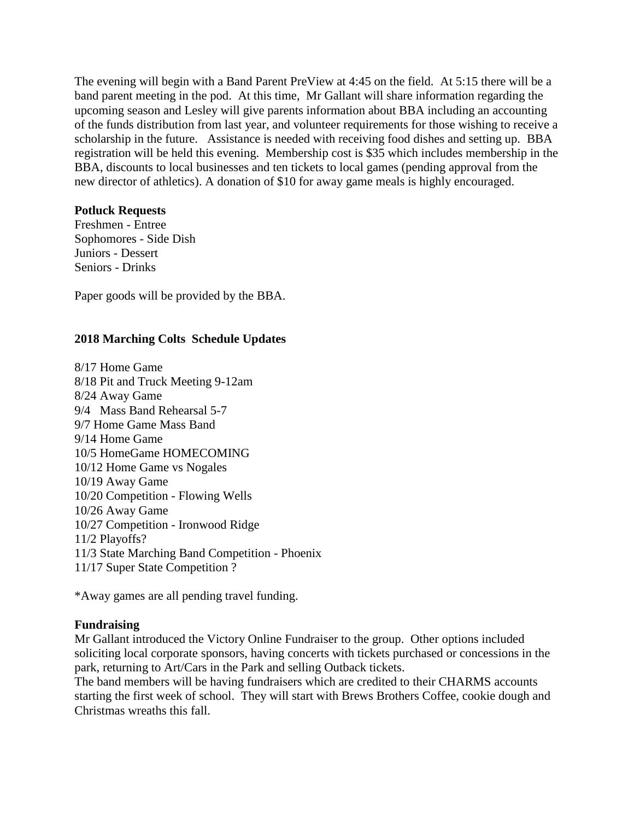The evening will begin with a Band Parent PreView at 4:45 on the field. At 5:15 there will be a band parent meeting in the pod. At this time, Mr Gallant will share information regarding the upcoming season and Lesley will give parents information about BBA including an accounting of the funds distribution from last year, and volunteer requirements for those wishing to receive a scholarship in the future. Assistance is needed with receiving food dishes and setting up. BBA registration will be held this evening. Membership cost is \$35 which includes membership in the BBA, discounts to local businesses and ten tickets to local games (pending approval from the new director of athletics). A donation of \$10 for away game meals is highly encouraged.

## **Potluck Requests**

Freshmen - Entree Sophomores - Side Dish Juniors - Dessert Seniors - Drinks

Paper goods will be provided by the BBA.

## **2018 Marching Colts Schedule Updates**

8/17 Home Game 8/18 Pit and Truck Meeting 9-12am 8/24 Away Game 9/4 Mass Band Rehearsal 5-7 9/7 Home Game Mass Band 9/14 Home Game 10/5 HomeGame HOMECOMING 10/12 Home Game vs Nogales 10/19 Away Game 10/20 Competition - Flowing Wells 10/26 Away Game 10/27 Competition - Ironwood Ridge 11/2 Playoffs? 11/3 State Marching Band Competition - Phoenix 11/17 Super State Competition ?

\*Away games are all pending travel funding.

## **Fundraising**

Mr Gallant introduced the Victory Online Fundraiser to the group. Other options included soliciting local corporate sponsors, having concerts with tickets purchased or concessions in the park, returning to Art/Cars in the Park and selling Outback tickets.

The band members will be having fundraisers which are credited to their CHARMS accounts starting the first week of school. They will start with Brews Brothers Coffee, cookie dough and Christmas wreaths this fall.